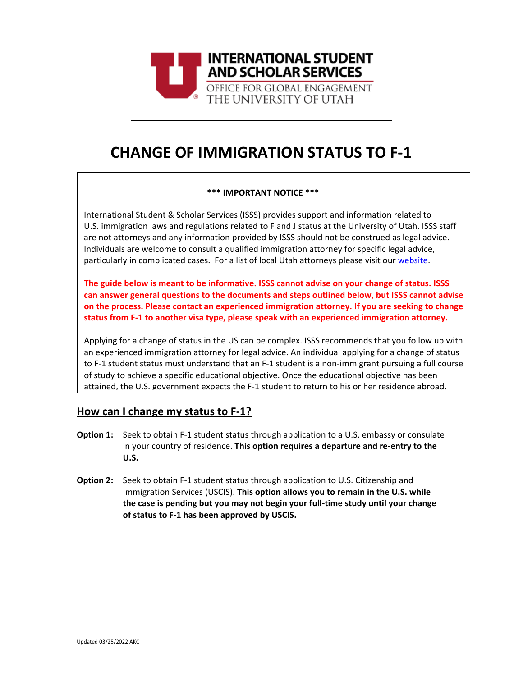

# **CHANGE OF IMMIGRATION STATUS TO F-1**

### **\*\*\* IMPORTANT NOTICE \*\*\***

International Student & Scholar Services (ISSS) provides support and information related to U.S. immigration laws and regulations related to F and J status at the University of Utah. ISSS staff are not attorneys and any information provided by ISSS should not be construed as legal advice. Individuals are welcome to consult a qualified immigration attorney for specific legal advice, particularly in complicated cases. For a list of local Utah attorneys please visit our [website.](https://isss.utah.edu/forms-publications/documents/isss-immigration-attorney-resources.pdf)

**The guide below is meant to be informative. ISSS cannot advise on your change of status. ISSS can answer general questions to the documents and steps outlined below, but ISSS cannot advise on the process. Please contact an experienced immigration attorney. If you are seeking to change status from F-1 to another visa type, please speak with an experienced immigration attorney.** 

Applying for a change of status in the US can be complex. ISSS recommends that you follow up with an experienced immigration attorney for legal advice. An individual applying for a change of status to F-1 student status must understand that an F-1 student is a non-immigrant pursuing a full course of study to achieve a specific educational objective. Once the educational objective has been attained, the U.S. government expects the F-1 student to return to his or her residence abroad.

#### **How can I change my status to F-1?**

- Seek to obtain F-1 student status through application to a U.S. embassy or consulate in your country of residence. **This option requires a departure and re-entry to the U.S. Option 1:**
- **Option 2:** Seek to obtain F-1 student status through application to U.S. Citizenship and Immigration Services (USCIS). **This option allows you to remain in the U.S. while the case is pending but you may not begin your full-time study until your change of status to F-1 has been approved by USCIS.**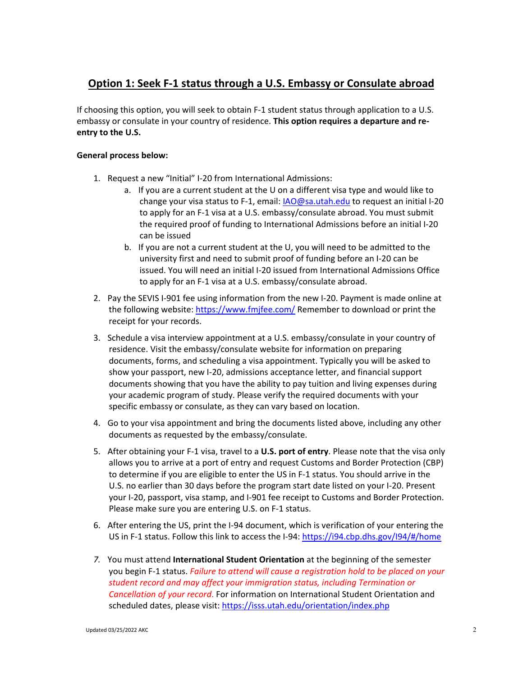### **Option 1: Seek F-1 status through a U.S. Embassy or Consulate abroad**

If choosing this option, you will seek to obtain F-1 student status through application to a U.S. embassy or consulate in your country of residence. **This option requires a departure and reentry to the U.S.**

#### **General process below:**

- 1. Request a new "Initial" I-20 from International Admissions:
	- a. If you are a current student at the U on a different visa type and would like to change your visa status to F-1, email: [IAO@sa.utah.edu](mailto:IAO@sa.utah.edu) to request an initial I-20 to apply for an F-1 visa at a U.S. embassy/consulate abroad. You must submit the required proof of funding to International Admissions before an initial I-20 can be issued
	- b. If you are not a current student at the U, you will need to be admitted to the university first and need to submit proof of funding before an I-20 can be issued. You will need an initial I-20 issued from International Admissions Office to apply for an F-1 visa at a U.S. embassy/consulate abroad.
- 2. Pay the SEVIS I-901 fee using information from the new I-20. Payment is made online at the following website:<https://www.fmjfee.com/> Remember to download or print the receipt for your records.
- 3. Schedule a visa interview appointment at a U.S. embassy/consulate in your country of residence. Visit the embassy/consulate website for information on preparing documents, forms, and scheduling a visa appointment. Typically you will be asked to show your passport, new I-20, admissions acceptance letter, and financial support documents showing that you have the ability to pay tuition and living expenses during your academic program of study. Please verify the required documents with your specific embassy or consulate, as they can vary based on location.
- 4. Go to your visa appointment and bring the documents listed above, including any other documents as requested by the embassy/consulate.
- 5. After obtaining your F-1 visa, travel to a **U.S. port of entry**. Please note that the visa only allows you to arrive at a port of entry and request Customs and Border Protection (CBP) to determine if you are eligible to enter the US in F-1 status. You should arrive in the U.S. no earlier than 30 days before the program start date listed on your I-20. Present your I-20, passport, visa stamp, and I-901 fee receipt to Customs and Border Protection. Please make sure you are entering U.S. on F-1 status.
- 6. After entering the US, print the I-94 document, which is verification of your entering the US in F-1 status. Follow this link to access the I-94: <https://i94.cbp.dhs.gov/I94/#/home>
- *7.* You must attend **International Student Orientation** at the beginning of the semester you begin F-1 status. *Failure to attend will cause a registration hold to be placed on your student record and may affect your immigration status, including Termination or Cancellation of your record*. For information on International Student Orientation and scheduled dates, please visit:<https://isss.utah.edu/orientation/index.php>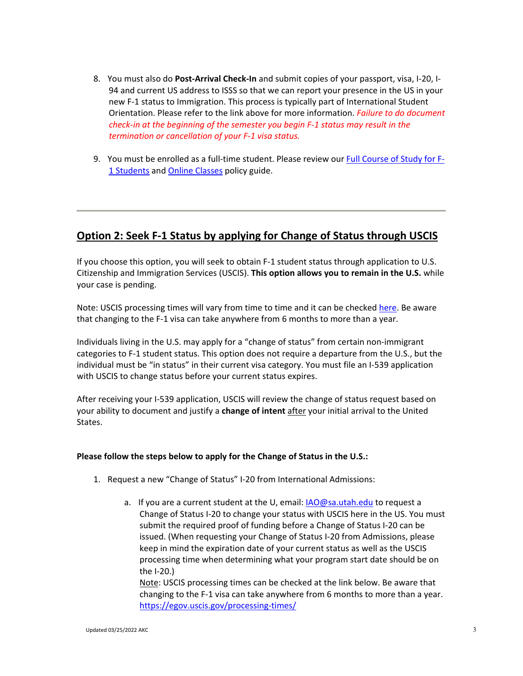- 8. You must also do **Post-Arrival Check-In** and submit copies of your passport, visa, I-20, I-94 and current US address to ISSS so that we can report your presence in the US in your new F-1 status to Immigration. This process is typically part of International Student Orientation. Please refer to the link above for more information. *Failure to do document check-in at the beginning of the semester you begin F-1 status may result in the termination or cancellation of your F-1 visa status.*
- 9. You must be enrolled as a full-time student. Please review ou[r Full Course of Study for F-](https://isss.utah.edu/forms-publications/documents/f1-full-course-of-study-policy-guide.pdf)[1 Students](https://isss.utah.edu/forms-publications/documents/f1-full-course-of-study-policy-guide.pdf) and [Online Classes](https://isss.utah.edu/forms-publications/documents/f1-online-class-policy-guide.pdf) policy guide.

### **Option 2: Seek F-1 Status by applying for Change of Status through USCIS**

If you choose this option, you will seek to obtain F-1 student status through application to U.S. Citizenship and Immigration Services (USCIS). **This option allows you to remain in the U.S.** while your case is pending.

Note: USCIS processing times will vary from time to time and it can be checked [here.](https://egov.uscis.gov/processing-times/) Be aware that changing to the F-1 visa can take anywhere from 6 months to more than a year.

Individuals living in the U.S. may apply for a "change of status" from certain non-immigrant categories to F-1 student status. This option does not require a departure from the U.S., but the individual must be "in status" in their current visa category. You must file an I-539 application with USCIS to change status before your current status expires.

After receiving your I-539 application, USCIS will review the change of status request based on your ability to document and justify a **change of intent** after your initial arrival to the United States.

#### **Please follow the steps below to apply for the Change of Status in the U.S.:**

- 1. Request a new "Change of Status" I-20 from International Admissions:
	- a. If you are a current student at the U, email: [IAO@sa.utah.edu](mailto:IAO@sa.utah.edu) to request a Change of Status I-20 to change your status with USCIS here in the US. You must submit the required proof of funding before a Change of Status I-20 can be issued. (When requesting your Change of Status I-20 from Admissions, please keep in mind the expiration date of your current status as well as the USCIS processing time when determining what your program start date should be on the I-20.)

Note: USCIS processing times can be checked at the link below. Be aware that changing to the F-1 visa can take anywhere from 6 months to more than a year. <https://egov.uscis.gov/processing-times/>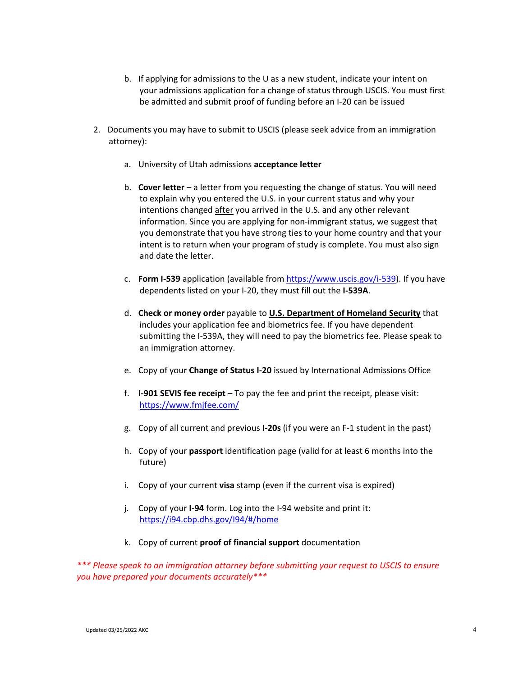- b. If applying for admissions to the U as a new student, indicate your intent on your admissions application for a change of status through USCIS. You must first be admitted and submit proof of funding before an I-20 can be issued
- 2. Documents you may have to submit to USCIS (please seek advice from an immigration attorney):
	- a. University of Utah admissions **acceptance letter**
	- b. **Cover letter** a letter from you requesting the change of status. You will need to explain why you entered the U.S. in your current status and why your intentions changed after you arrived in the U.S. and any other relevant information. Since you are applying for non-immigrant status, we suggest that you demonstrate that you have strong ties to your home country and that your intent is to return when your program of study is complete. You must also sign and date the letter.
	- c. **Form I-539** application (available fro[m https://www.uscis.gov/i-539\)](https://www.uscis.gov/i-539). If you have dependents listed on your I-20, they must fill out the **I-539A**.
	- d. **Check or money order** payable to **U.S. Department of Homeland Security** that includes your application fee and biometrics fee. If you have dependent submitting the I-539A, they will need to pay the biometrics fee. Please speak to an immigration attorney.
	- e. Copy of your **Change of Status I-20** issued by International Admissions Office
	- f. **I-901 SEVIS fee receipt** To pay the fee and print the receipt, please visit: <https://www.fmjfee.com/>
	- g. Copy of all current and previous **I-20s** (if you were an F-1 student in the past)
	- h. Copy of your **passport** identification page (valid for at least 6 months into the future)
	- i. Copy of your current **visa** stamp (even if the current visa is expired)
	- j. Copy of your **I-94** form. Log into the I-94 website and print it: <https://i94.cbp.dhs.gov/I94/#/home>
	- k. Copy of current **proof of financial support** documentation

*\*\*\* Please speak to an immigration attorney before submitting your request to USCIS to ensure you have prepared your documents accurately\*\*\**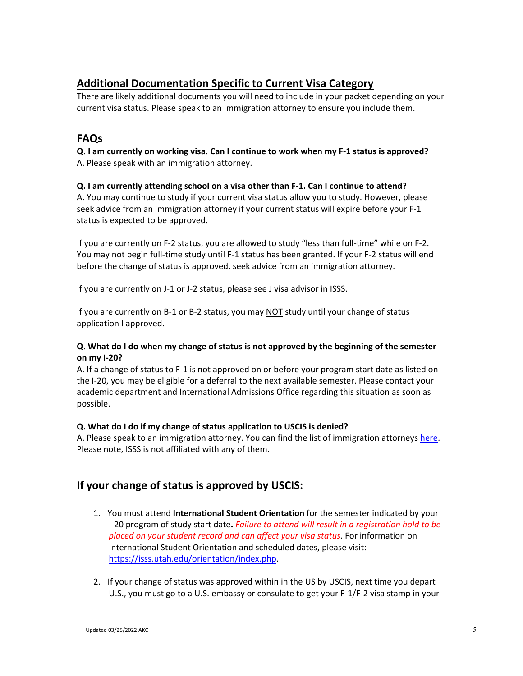# **Additional Documentation Specific to Current Visa Category**

There are likely additional documents you will need to include in your packet depending on your current visa status. Please speak to an immigration attorney to ensure you include them.

# **FAQs**

**Q. I am currently on working visa. Can I continue to work when my F-1 status is approved?** A. Please speak with an immigration attorney.

### **Q. I am currently attending school on a visa other than F-1. Can I continue to attend?**

A. You may continue to study if your current visa status allow you to study. However, please seek advice from an immigration attorney if your current status will expire before your F-1 status is expected to be approved.

If you are currently on F-2 status, you are allowed to study "less than full-time" while on F-2. You may not begin full-time study until F-1 status has been granted. If your F-2 status will end before the change of status is approved, seek advice from an immigration attorney.

If you are currently on J-1 or J-2 status, please see J visa advisor in ISSS.

If you are currently on B-1 or B-2 status, you may NOT study until your change of status application I approved.

### **Q. What do I do when my change of status is not approved by the beginning of the semester on my I-20?**

A. If a change of status to F-1 is not approved on or before your program start date as listed on the I-20, you may be eligible for a deferral to the next available semester. Please contact your academic department and International Admissions Office regarding this situation as soon as possible.

### **Q. What do I do if my change of status application to USCIS is denied?**

A. Please speak to an immigration attorney. You can find the list of immigration attorneys [here.](https://isss.utah.edu/forms-publications/documents/isss-immigration-attorney-resources.pdf) Please note, ISSS is not affiliated with any of them.

# **If your change of status is approved by USCIS:**

- 1. You must attend **International Student Orientation** for the semester indicated by your I-20 program of study start date**.** *Failure to attend will result in a registration hold to be placed on your student record and can affect your visa status*. For information on International Student Orientation and scheduled dates, please visit: [https://isss.utah.edu/orientation/index.php.](https://isss.utah.edu/orientation/index.php)
- 2. If your change of status was approved within in the US by USCIS, next time you depart U.S., you must go to a U.S. embassy or consulate to get your F-1/F-2 visa stamp in your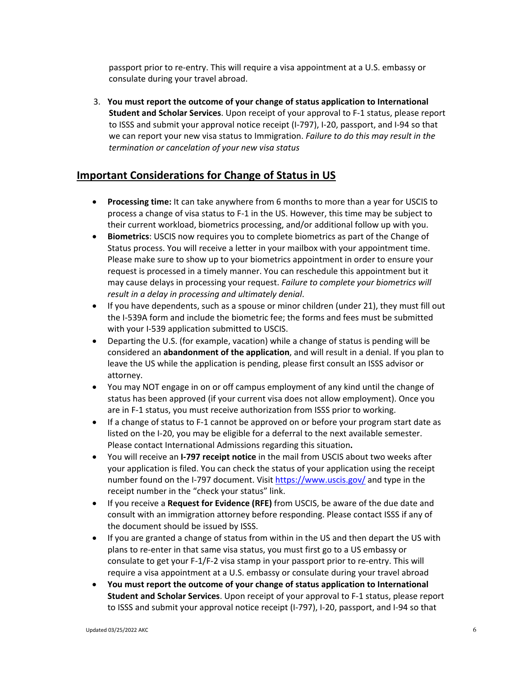passport prior to re-entry. This will require a visa appointment at a U.S. embassy or consulate during your travel abroad.

3. **You must report the outcome of your change of status application to International Student and Scholar Services**. Upon receipt of your approval to F-1 status, please report to ISSS and submit your approval notice receipt (I-797), I-20, passport, and I-94 so that we can report your new visa status to Immigration. *Failure to do this may result in the termination or cancelation of your new visa status*

### **Important Considerations for Change of Status in US**

- **Processing time:** It can take anywhere from 6 months to more than a year for USCIS to process a change of visa status to F-1 in the US. However, this time may be subject to their current workload, biometrics processing, and/or additional follow up with you.
- **Biometrics**: USCIS now requires you to complete biometrics as part of the Change of Status process. You will receive a letter in your mailbox with your appointment time. Please make sure to show up to your biometrics appointment in order to ensure your request is processed in a timely manner. You can reschedule this appointment but it may cause delays in processing your request. *Failure to complete your biometrics will result in a delay in processing and ultimately denial*.
- If you have dependents, such as a spouse or minor children (under 21), they must fill out the I-539A form and include the biometric fee; the forms and fees must be submitted with your I-539 application submitted to USCIS.
- Departing the U.S. (for example, vacation) while a change of status is pending will be considered an **abandonment of the application**, and will result in a denial. If you plan to leave the US while the application is pending, please first consult an ISSS advisor or attorney.
- You may NOT engage in on or off campus employment of any kind until the change of status has been approved (if your current visa does not allow employment). Once you are in F-1 status, you must receive authorization from ISSS prior to working.
- If a change of status to F-1 cannot be approved on or before your program start date as listed on the I-20, you may be eligible for a deferral to the next available semester. Please contact International Admissions regarding this situation**.**
- You will receive an **I-797 receipt notice** in the mail from USCIS about two weeks after your application is filed. You can check the status of your application using the receipt number found on the I-797 document. Visit<https://www.uscis.gov/> and type in the receipt number in the "check your status" link.
- If you receive a **Request for Evidence (RFE)** from USCIS, be aware of the due date and consult with an immigration attorney before responding. Please contact ISSS if any of the document should be issued by ISSS.
- If you are granted a change of status from within in the US and then depart the US with plans to re-enter in that same visa status, you must first go to a US embassy or consulate to get your F-1/F-2 visa stamp in your passport prior to re-entry. This will require a visa appointment at a U.S. embassy or consulate during your travel abroad
- **You must report the outcome of your change of status application to International Student and Scholar Services**. Upon receipt of your approval to F-1 status, please report to ISSS and submit your approval notice receipt (I-797), I-20, passport, and I-94 so that